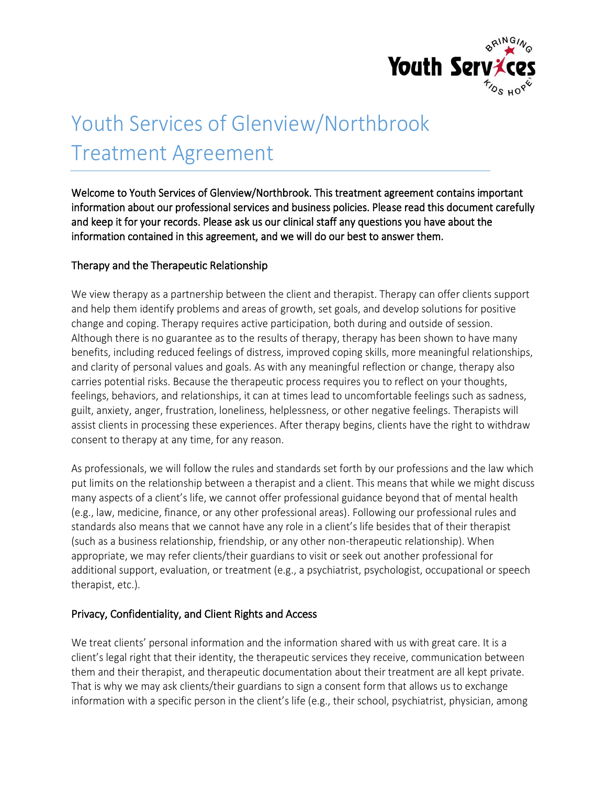

# Youth Services of Glenview/Northbrook Treatment Agreement

Welcome to Youth Services of Glenview/Northbrook. This treatment agreement contains important information about our professional services and business policies. Please read this document carefully and keep it for your records. Please ask us our clinical staff any questions you have about the information contained in this agreement, and we will do our best to answer them.

## Therapy and the Therapeutic Relationship

We view therapy as a partnership between the client and therapist. Therapy can offer clients support and help them identify problems and areas of growth, set goals, and develop solutions for positive change and coping. Therapy requires active participation, both during and outside of session. Although there is no guarantee as to the results of therapy, therapy has been shown to have many benefits, including reduced feelings of distress, improved coping skills, more meaningful relationships, and clarity of personal values and goals. As with any meaningful reflection or change, therapy also carries potential risks. Because the therapeutic process requires you to reflect on your thoughts, feelings, behaviors, and relationships, it can at times lead to uncomfortable feelings such as sadness, guilt, anxiety, anger, frustration, loneliness, helplessness, or other negative feelings. Therapists will assist clients in processing these experiences. After therapy begins, clients have the right to withdraw consent to therapy at any time, for any reason.

As professionals, we will follow the rules and standards set forth by our professions and the law which put limits on the relationship between a therapist and a client. This means that while we might discuss many aspects of a client's life, we cannot offer professional guidance beyond that of mental health (e.g., law, medicine, finance, or any other professional areas). Following our professional rules and standards also means that we cannot have any role in a client's life besides that of their therapist (such as a business relationship, friendship, or any other non-therapeutic relationship). When appropriate, we may refer clients/their guardians to visit or seek out another professional for additional support, evaluation, or treatment (e.g., a psychiatrist, psychologist, occupational or speech therapist, etc.).

## Privacy, Confidentiality, and Client Rights and Access

We treat clients' personal information and the information shared with us with great care. It is a client's legal right that their identity, the therapeutic services they receive, communication between them and their therapist, and therapeutic documentation about their treatment are all kept private. That is why we may ask clients/their guardians to sign a consent form that allows us to exchange information with a specific person in the client's life (e.g., their school, psychiatrist, physician, among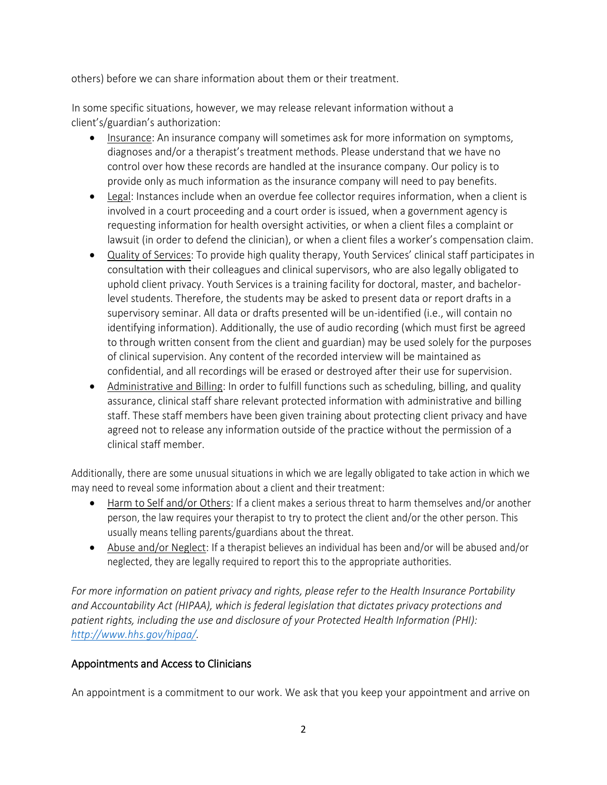others) before we can share information about them or their treatment.

In some specific situations, however, we may release relevant information without a client's/guardian's authorization:

- Insurance: An insurance company will sometimes ask for more information on symptoms, diagnoses and/or a therapist's treatment methods. Please understand that we have no control over how these records are handled at the insurance company. Our policy is to provide only as much information as the insurance company will need to pay benefits.
- Legal: Instances include when an overdue fee collector requires information, when a client is involved in a court proceeding and a court order is issued, when a government agency is requesting information for health oversight activities, or when a client files a complaint or lawsuit (in order to defend the clinician), or when a client files a worker's compensation claim.
- Quality of Services: To provide high quality therapy, Youth Services' clinical staff participates in consultation with their colleagues and clinical supervisors, who are also legally obligated to uphold client privacy. Youth Services is a training facility for doctoral, master, and bachelorlevel students. Therefore, the students may be asked to present data or report drafts in a supervisory seminar. All data or drafts presented will be un-identified (i.e., will contain no identifying information). Additionally, the use of audio recording (which must first be agreed to through written consent from the client and guardian) may be used solely for the purposes of clinical supervision. Any content of the recorded interview will be maintained as confidential, and all recordings will be erased or destroyed after their use for supervision.
- Administrative and Billing: In order to fulfill functions such as scheduling, billing, and quality assurance, clinical staff share relevant protected information with administrative and billing staff. These staff members have been given training about protecting client privacy and have agreed not to release any information outside of the practice without the permission of a clinical staff member.

Additionally, there are some unusual situations in which we are legally obligated to take action in which we may need to reveal some information about a client and their treatment:

- Harm to Self and/or Others: If a client makes a serious threat to harm themselves and/or another person, the law requires your therapist to try to protect the client and/or the other person. This usually means telling parents/guardians about the threat.
- Abuse and/or Neglect: If a therapist believes an individual has been and/or will be abused and/or neglected, they are legally required to report this to the appropriate authorities.

*For more information on patient privacy and rights, please refer to the Health Insurance Portability and Accountability Act (HIPAA), which is federal legislation that dictates privacy protections and patient rights, including the use and disclosure of your Protected Health Information (PHI): [http://www.hhs.gov/hipaa/.](http://www.hhs.gov/hipaa/)* 

## Appointments and Access to Clinicians

An appointment is a commitment to our work. We ask that you keep your appointment and arrive on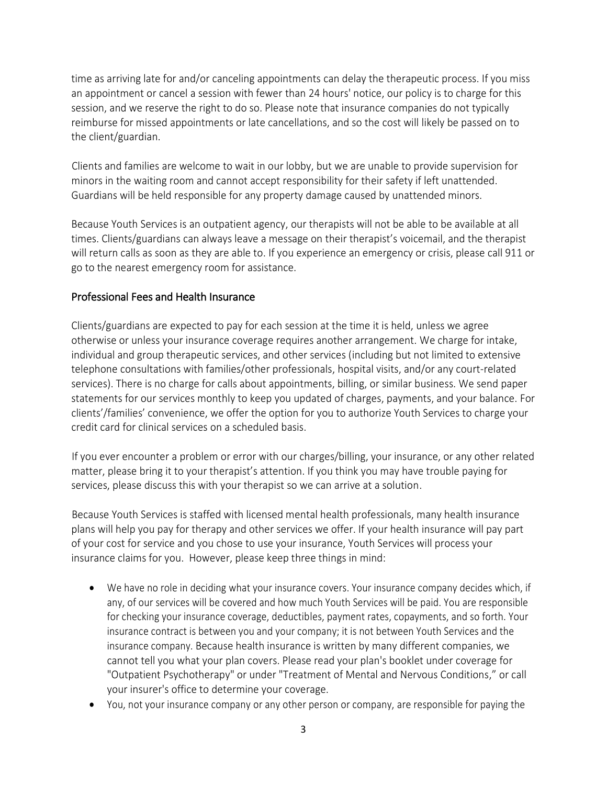time as arriving late for and/or canceling appointments can delay the therapeutic process. If you miss an appointment or cancel a session with fewer than 24 hours' notice, our policy is to charge for this session, and we reserve the right to do so. Please note that insurance companies do not typically reimburse for missed appointments or late cancellations, and so the cost will likely be passed on to the client/guardian.

Clients and families are welcome to wait in our lobby, but we are unable to provide supervision for minors in the waiting room and cannot accept responsibility for their safety if left unattended. Guardians will be held responsible for any property damage caused by unattended minors.

Because Youth Services is an outpatient agency, our therapists will not be able to be available at all times. Clients/guardians can always leave a message on their therapist's voicemail, and the therapist will return calls as soon as they are able to. If you experience an emergency or crisis, please call 911 or go to the nearest emergency room for assistance.

## Professional Fees and Health Insurance

Clients/guardians are expected to pay for each session at the time it is held, unless we agree otherwise or unless your insurance coverage requires another arrangement. We charge for intake, individual and group therapeutic services, and other services (including but not limited to extensive telephone consultations with families/other professionals, hospital visits, and/or any court-related services). There is no charge for calls about appointments, billing, or similar business. We send paper statements for our services monthly to keep you updated of charges, payments, and your balance. For clients'/families' convenience, we offer the option for you to authorize Youth Services to charge your credit card for clinical services on a scheduled basis.

If you ever encounter a problem or error with our charges/billing, your insurance, or any other related matter, please bring it to your therapist's attention. If you think you may have trouble paying for services, please discuss this with your therapist so we can arrive at a solution.

Because Youth Services is staffed with licensed mental health professionals, many health insurance plans will help you pay for therapy and other services we offer. If your health insurance will pay part of your cost for service and you chose to use your insurance, Youth Services will process your insurance claims for you. However, please keep three things in mind:

- We have no role in deciding what your insurance covers. Your insurance company decides which, if any, of our services will be covered and how much Youth Services will be paid. You are responsible for checking your insurance coverage, deductibles, payment rates, copayments, and so forth. Your insurance contract is between you and your company; it is not between Youth Services and the insurance company. Because health insurance is written by many different companies, we cannot tell you what your plan covers. Please read your plan's booklet under coverage for "Outpatient Psychotherapy" or under "Treatment of Mental and Nervous Conditions," or call your insurer's office to determine your coverage.
- You, not your insurance company or any other person or company, are responsible for paying the